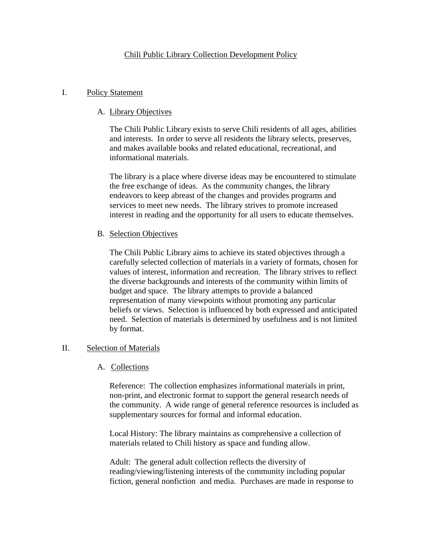# Chili Public Library Collection Development Policy

## I. Policy Statement

## A. Library Objectives

The Chili Public Library exists to serve Chili residents of all ages, abilities and interests. In order to serve all residents the library selects, preserves, and makes available books and related educational, recreational, and informational materials.

The library is a place where diverse ideas may be encountered to stimulate the free exchange of ideas. As the community changes, the library endeavors to keep abreast of the changes and provides programs and services to meet new needs. The library strives to promote increased interest in reading and the opportunity for all users to educate themselves.

## B. Selection Objectives

The Chili Public Library aims to achieve its stated objectives through a carefully selected collection of materials in a variety of formats, chosen for values of interest, information and recreation. The library strives to reflect the diverse backgrounds and interests of the community within limits of budget and space. The library attempts to provide a balanced representation of many viewpoints without promoting any particular beliefs or views. Selection is influenced by both expressed and anticipated need. Selection of materials is determined by usefulness and is not limited by format.

## II. Selection of Materials

## A. Collections

Reference: The collection emphasizes informational materials in print, non-print, and electronic format to support the general research needs of the community. A wide range of general reference resources is included as supplementary sources for formal and informal education.

Local History: The library maintains as comprehensive a collection of materials related to Chili history as space and funding allow.

Adult: The general adult collection reflects the diversity of reading/viewing/listening interests of the community including popular fiction, general nonfiction and media. Purchases are made in response to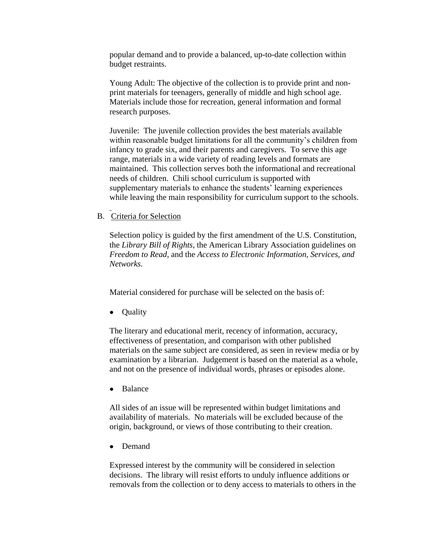popular demand and to provide a balanced, up-to-date collection within budget restraints.

Young Adult: The objective of the collection is to provide print and nonprint materials for teenagers, generally of middle and high school age. Materials include those for recreation, general information and formal research purposes.

Juvenile: The juvenile collection provides the best materials available within reasonable budget limitations for all the community's children from infancy to grade six, and their parents and caregivers. To serve this age range, materials in a wide variety of reading levels and formats are maintained. This collection serves both the informational and recreational needs of children. Chili school curriculum is supported with supplementary materials to enhance the students' learning experiences while leaving the main responsibility for curriculum support to the schools.

#### B. Criteria for Selection

Selection policy is guided by the first amendment of the U.S. Constitution, the *Library Bill of Rights*, the American Library Association guidelines on *Freedom to Read,* and the *Access to Electronic Information, Services, and Networks.*

Material considered for purchase will be selected on the basis of:

• Quality

The literary and educational merit, recency of information, accuracy, effectiveness of presentation, and comparison with other published materials on the same subject are considered, as seen in review media or by examination by a librarian. Judgement is based on the material as a whole, and not on the presence of individual words, phrases or episodes alone.

Balance  $\bullet$ 

All sides of an issue will be represented within budget limitations and availability of materials. No materials will be excluded because of the origin, background, or views of those contributing to their creation.

 $\bullet$ Demand

Expressed interest by the community will be considered in selection decisions. The library will resist efforts to unduly influence additions or removals from the collection or to deny access to materials to others in the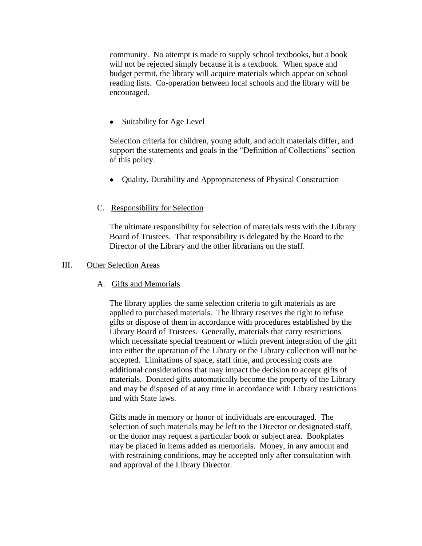community. No attempt is made to supply school textbooks, but a book will not be rejected simply because it is a textbook. When space and budget permit, the library will acquire materials which appear on school reading lists. Co-operation between local schools and the library will be encouraged.

Suitability for Age Level  $\bullet$ 

Selection criteria for children, young adult, and adult materials differ, and support the statements and goals in the "Definition of Collections" section of this policy.

• Ouality, Durability and Appropriateness of Physical Construction

## C. Responsibility for Selection

The ultimate responsibility for selection of materials rests with the Library Board of Trustees. That responsibility is delegated by the Board to the Director of the Library and the other librarians on the staff.

### III. Other Selection Areas

## A. Gifts and Memorials

The library applies the same selection criteria to gift materials as are applied to purchased materials. The library reserves the right to refuse gifts or dispose of them in accordance with procedures established by the Library Board of Trustees. Generally, materials that carry restrictions which necessitate special treatment or which prevent integration of the gift into either the operation of the Library or the Library collection will not be accepted. Limitations of space, staff time, and processing costs are additional considerations that may impact the decision to accept gifts of materials. Donated gifts automatically become the property of the Library and may be disposed of at any time in accordance with Library restrictions and with State laws.

Gifts made in memory or honor of individuals are encouraged. The selection of such materials may be left to the Director or designated staff, or the donor may request a particular book or subject area. Bookplates may be placed in items added as memorials. Money, in any amount and with restraining conditions, may be accepted only after consultation with and approval of the Library Director.